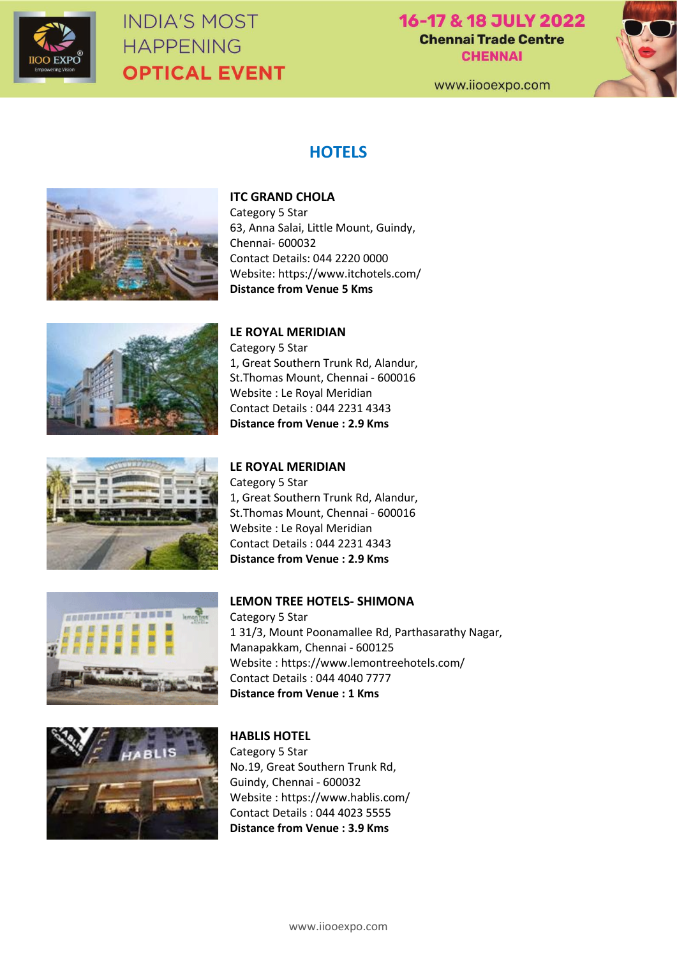

# **INDIA'S MOST HAPPENING OPTICAL EVENT**

## 16-17 & 18 JULY 2022 **Chennai Trade Centre CHENNAI**



www.iiooexpo.com

# **HOTELS**



#### **ITC GRAND CHOLA**

Category 5 Star 63, Anna Salai, Little Mount, Guindy, Chennai- 600032 Contact Details: 044 2220 0000 Website: https://www.itchotels.com/ **Distance from Venue 5 Kms**









#### **LE ROYAL MERIDIAN**

Category 5 Star 1, Great Southern Trunk Rd, Alandur, St.Thomas Mount, Chennai - 600016 Website : Le Royal Meridian Contact Details : 044 2231 4343 **Distance from Venue : 2.9 Kms**

#### **LE ROYAL MERIDIAN**

Category 5 Star 1, Great Southern Trunk Rd, Alandur, St.Thomas Mount, Chennai - 600016 Website : Le Royal Meridian Contact Details : 044 2231 4343 **Distance from Venue : 2.9 Kms**

### **LEMON TREE HOTELS- SHIMONA**

Category 5 Star 1 31/3, Mount Poonamallee Rd, Parthasarathy Nagar, Manapakkam, Chennai - 600125 Website : https://www.lemontreehotels.com/ Contact Details : 044 4040 7777 **Distance from Venue : 1 Kms**

**HABLIS HOTEL**

Category 5 Star No.19, Great Southern Trunk Rd, Guindy, Chennai - 600032 Website : https://www.hablis.com/ Contact Details : 044 4023 5555 **Distance from Venue : 3.9 Kms**